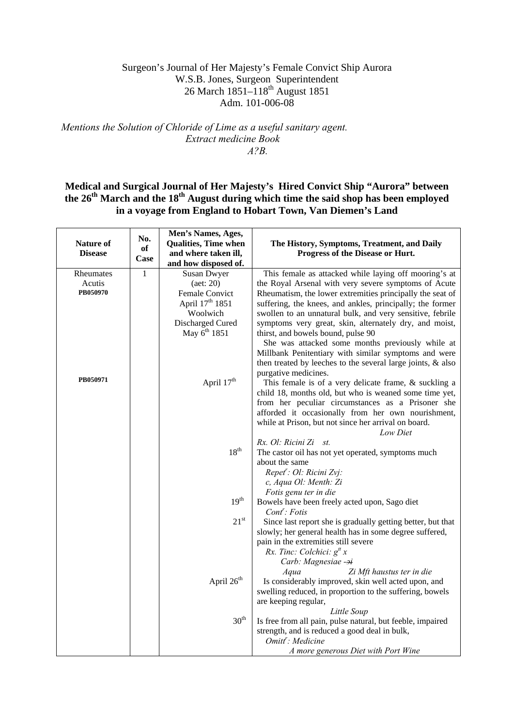# Surgeon's Journal of Her Majesty's Female Convict Ship Aurora W.S.B. Jones, Surgeon Superintendent 26 March 1851–118th August 1851 Adm. 101-006-08

# *Mentions the Solution of Chloride of Lime as a useful sanitary agent. Extract medicine Book A?B.*

# **Medical and Surgical Journal of Her Majesty's Hired Convict Ship "Aurora" between**  the 26<sup>th</sup> March and the 18<sup>th</sup> August during which time the said shop has been employed **in a voyage from England to Hobart Town, Van Diemen's Land**

| <b>Nature of</b><br><b>Disease</b> | No.<br>of<br>Case | Men's Names, Ages,<br><b>Qualities, Time when</b><br>and where taken ill,<br>and how disposed of. | The History, Symptoms, Treatment, and Daily<br>Progress of the Disease or Hurt.                                     |
|------------------------------------|-------------------|---------------------------------------------------------------------------------------------------|---------------------------------------------------------------------------------------------------------------------|
| Rheumates                          | $\mathbf{1}$      | Susan Dwyer                                                                                       | This female as attacked while laying off mooring's at                                                               |
| Acutis                             |                   | (aet: 20)                                                                                         | the Royal Arsenal with very severe symptoms of Acute                                                                |
| PB050970                           |                   | Female Convict                                                                                    | Rheumatism, the lower extremities principally the seat of                                                           |
|                                    |                   | April 17 <sup>th</sup> 1851                                                                       | suffering, the knees, and ankles, principally; the former                                                           |
|                                    |                   | Woolwich                                                                                          | swollen to an unnatural bulk, and very sensitive, febrile                                                           |
|                                    |                   | Discharged Cured<br>May 6 <sup>th</sup> 1851                                                      | symptoms very great, skin, alternately dry, and moist,<br>thirst, and bowels bound, pulse 90                        |
|                                    |                   |                                                                                                   | She was attacked some months previously while at                                                                    |
|                                    |                   |                                                                                                   | Millbank Penitentiary with similar symptoms and were<br>then treated by leeches to the several large joints, & also |
| PB050971                           |                   |                                                                                                   | purgative medicines.                                                                                                |
|                                    |                   | April 17th                                                                                        | This female is of a very delicate frame, $\&$ suckling a                                                            |
|                                    |                   |                                                                                                   | child 18, months old, but who is weaned some time yet,<br>from her peculiar circumstances as a Prisoner she         |
|                                    |                   |                                                                                                   | afforded it occasionally from her own nourishment,                                                                  |
|                                    |                   |                                                                                                   | while at Prison, but not since her arrival on board.                                                                |
|                                    |                   |                                                                                                   | Low Diet                                                                                                            |
|                                    |                   |                                                                                                   | Rx. Ol: Ricini Zi st.                                                                                               |
|                                    |                   | 18 <sup>th</sup>                                                                                  | The castor oil has not yet operated, symptoms much                                                                  |
|                                    |                   |                                                                                                   | about the same                                                                                                      |
|                                    |                   |                                                                                                   | Repet <sup>r</sup> : Ol: Ricini Zvj:                                                                                |
|                                    |                   |                                                                                                   | c, Aqua Ol: Menth: Zi                                                                                               |
|                                    |                   |                                                                                                   | Fotis genu ter in die                                                                                               |
|                                    |                   | 19 <sup>th</sup>                                                                                  | Bowels have been freely acted upon, Sago diet<br>$Cont$ : Fotis                                                     |
|                                    |                   | $21^{st}$                                                                                         | Since last report she is gradually getting better, but that                                                         |
|                                    |                   |                                                                                                   | slowly; her general health has in some degree suffered,                                                             |
|                                    |                   |                                                                                                   | pain in the extremities still severe                                                                                |
|                                    |                   |                                                                                                   | Rx. Tinc: Colchici: $g^{tt}$ x                                                                                      |
|                                    |                   |                                                                                                   | Carb: Magnesiae -2i<br>Zi Mft haustus ter in die<br>Aqua                                                            |
|                                    |                   | April 26 <sup>th</sup>                                                                            | Is considerably improved, skin well acted upon, and                                                                 |
|                                    |                   |                                                                                                   | swelling reduced, in proportion to the suffering, bowels                                                            |
|                                    |                   |                                                                                                   | are keeping regular,                                                                                                |
|                                    |                   |                                                                                                   | Little Soup                                                                                                         |
|                                    |                   | $30^{\rm th}$                                                                                     | Is free from all pain, pulse natural, but feeble, impaired                                                          |
|                                    |                   |                                                                                                   | strength, and is reduced a good deal in bulk,                                                                       |
|                                    |                   |                                                                                                   | Omitt': Medicine                                                                                                    |
|                                    |                   |                                                                                                   | A more generous Diet with Port Wine                                                                                 |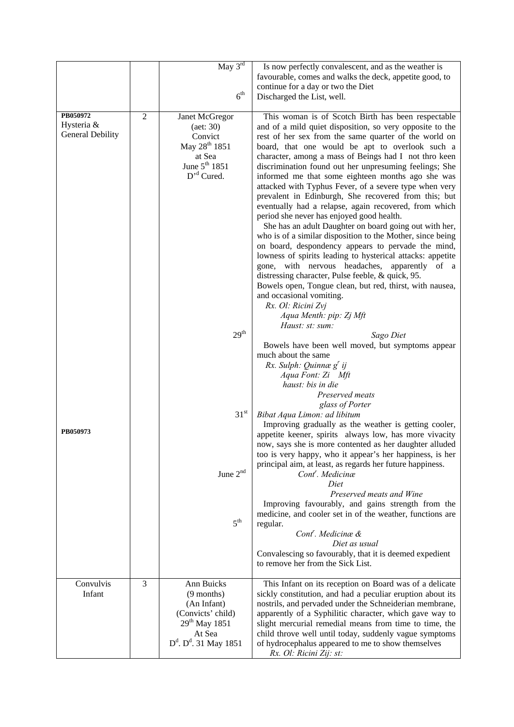|                                                   |                | $\overline{\text{May } 3^{\text{rd}}}$<br>6 <sup>th</sup>                                                                                        | Is now perfectly convalescent, and as the weather is<br>favourable, comes and walks the deck, appetite good, to<br>continue for a day or two the Diet<br>Discharged the List, well.                                                                                                                                                                                                                                                                                                                                                                                                                                                                                                                                                                                                                                                                                                                                                                                                                                                                                                                                                            |
|---------------------------------------------------|----------------|--------------------------------------------------------------------------------------------------------------------------------------------------|------------------------------------------------------------------------------------------------------------------------------------------------------------------------------------------------------------------------------------------------------------------------------------------------------------------------------------------------------------------------------------------------------------------------------------------------------------------------------------------------------------------------------------------------------------------------------------------------------------------------------------------------------------------------------------------------------------------------------------------------------------------------------------------------------------------------------------------------------------------------------------------------------------------------------------------------------------------------------------------------------------------------------------------------------------------------------------------------------------------------------------------------|
| PB050972<br>Hysteria &<br><b>General Debility</b> | $\overline{2}$ | Janet McGregor<br>$(\text{aet: } 30)$<br>Convict<br>May 28 <sup>th</sup> 1851<br>at Sea<br>June 5 <sup>th</sup> 1851<br>$D'$ <sup>d</sup> Cured. | This woman is of Scotch Birth has been respectable<br>and of a mild quiet disposition, so very opposite to the<br>rest of her sex from the same quarter of the world on<br>board, that one would be apt to overlook such a<br>character, among a mass of Beings had I not thro keen<br>discrimination found out her unpresuming feelings; She<br>informed me that some eighteen months ago she was<br>attacked with Typhus Fever, of a severe type when very<br>prevalent in Edinburgh, She recovered from this; but<br>eventually had a relapse, again recovered, from which<br>period she never has enjoyed good health.<br>She has an adult Daughter on board going out with her,<br>who is of a similar disposition to the Mother, since being<br>on board, despondency appears to pervade the mind,<br>lowness of spirits leading to hysterical attacks: appetite<br>with nervous headaches,<br>apparently of a<br>gone,<br>distressing character, Pulse feeble, & quick, 95.<br>Bowels open, Tongue clean, but red, thirst, with nausea,<br>and occasional vomiting.<br>Rx. Ol: Ricini Zvj<br>Aqua Menth: pip: Zj Mft<br>Haust: st: sum: |
|                                                   |                | $29^{\rm th}$                                                                                                                                    | Sago Diet<br>Bowels have been well moved, but symptoms appear<br>much about the same<br>Rx. Sulph: Quinnæ g <sup>r</sup> ij<br>Aqua Font: Zi Mft<br>haust: bis in die<br>Preserved meats<br>glass of Porter                                                                                                                                                                                                                                                                                                                                                                                                                                                                                                                                                                                                                                                                                                                                                                                                                                                                                                                                    |
| PB050973                                          |                | 31 <sup>st</sup><br>June 2 <sup>nd</sup><br>5 <sup>th</sup>                                                                                      | Bibat Aqua Limon: ad libitum<br>Improving gradually as the weather is getting cooler,<br>appetite keener, spirits always low, has more vivacity<br>now, says she is more contented as her daughter alluded<br>too is very happy, who it appear's her happiness, is her<br>principal aim, at least, as regards her future happiness.<br>Cont <sup>'</sup> . Medicinæ<br>Diet<br>Preserved meats and Wine<br>Improving favourably, and gains strength from the<br>medicine, and cooler set in of the weather, functions are<br>regular.<br>Cont <sup>'</sup> . Medicinæ &<br>Diet as usual<br>Convalescing so favourably, that it is deemed expedient<br>to remove her from the Sick List.                                                                                                                                                                                                                                                                                                                                                                                                                                                       |
| Convulvis<br>Infant                               | 3              | Ann Buicks<br>$(9$ months)<br>(An Infant)<br>(Convicts' child)<br>$29^{th}$ May 1851<br>At Sea<br>$D^d$ . $D^d$ . 31 May 1851                    | This Infant on its reception on Board was of a delicate<br>sickly constitution, and had a peculiar eruption about its<br>nostrils, and pervaded under the Schneiderian membrane,<br>apparently of a Syphilitic character, which gave way to<br>slight mercurial remedial means from time to time, the<br>child throve well until today, suddenly vague symptoms<br>of hydrocephalus appeared to me to show themselves<br>Rx. Ol: Ricini Zij: st:                                                                                                                                                                                                                                                                                                                                                                                                                                                                                                                                                                                                                                                                                               |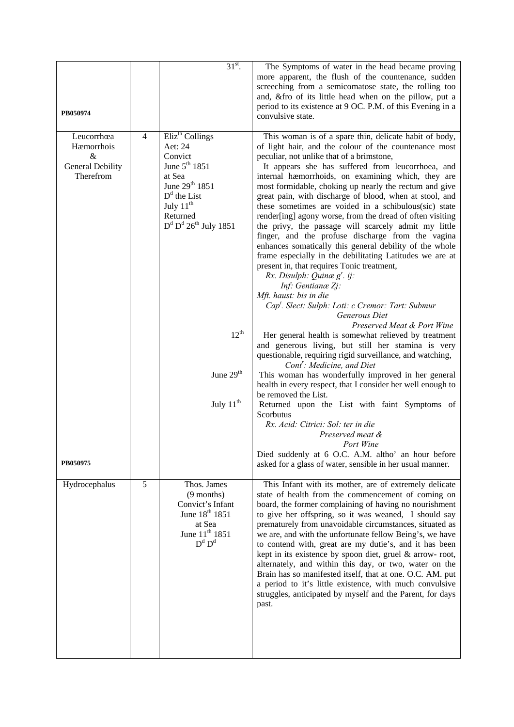| PB050974                                                       |                | $31st$ .                                                                                                                                                                                     | The Symptoms of water in the head became proving<br>more apparent, the flush of the countenance, sudden<br>screeching from a semicomatose state, the rolling too<br>and, & fro of its little head when on the pillow, put a<br>period to its existence at 9 OC. P.M. of this Evening in a<br>convulsive state.                                                                                                                                                                                                                                                                                                                                                                                                                                                                                                                                                                                                                                         |
|----------------------------------------------------------------|----------------|----------------------------------------------------------------------------------------------------------------------------------------------------------------------------------------------|--------------------------------------------------------------------------------------------------------------------------------------------------------------------------------------------------------------------------------------------------------------------------------------------------------------------------------------------------------------------------------------------------------------------------------------------------------------------------------------------------------------------------------------------------------------------------------------------------------------------------------------------------------------------------------------------------------------------------------------------------------------------------------------------------------------------------------------------------------------------------------------------------------------------------------------------------------|
| Leucorrhœa<br>Hæmorrhois<br>&<br>General Debility<br>Therefrom | $\overline{4}$ | Eliz <sup>th</sup> Collings<br>Aet: 24<br>Convict<br>June $5^{th}$ 1851<br>at Sea<br>June 29th 1851<br>$Dd$ the List<br>July $11^{th}$<br>Returned<br>$D^d$ $D^d$ $26^{\text{th}}$ July 1851 | This woman is of a spare thin, delicate habit of body,<br>of light hair, and the colour of the countenance most<br>peculiar, not unlike that of a brimstone,<br>It appears she has suffered from leucorrhoea, and<br>internal hæmorrhoids, on examining which, they are<br>most formidable, choking up nearly the rectum and give<br>great pain, with discharge of blood, when at stool, and<br>these sometimes are voided in a schibulous(sic) state<br>render[ing] agony worse, from the dread of often visiting<br>the privy, the passage will scarcely admit my little<br>finger, and the profuse discharge from the vagina<br>enhances somatically this general debility of the whole<br>frame especially in the debilitating Latitudes we are at<br>present in, that requires Tonic treatment,<br>Rx. Disulph: Quinæ $g^r$ . ij:<br>Inf: Gentianæ Zj:<br>Mft. haust: bis in die<br>Cap <sup>t</sup> . Slect: Sulph: Loti: c Cremor: Tart: Submur |
|                                                                |                | $12^{th}$                                                                                                                                                                                    | Generous Diet<br>Preserved Meat & Port Wine<br>Her general health is somewhat relieved by treatment<br>and generous living, but still her stamina is very<br>questionable, requiring rigid surveillance, and watching,<br>$Cont$ : Medicine, and Diet                                                                                                                                                                                                                                                                                                                                                                                                                                                                                                                                                                                                                                                                                                  |
|                                                                |                | June 29 <sup>th</sup>                                                                                                                                                                        | This woman has wonderfully improved in her general<br>health in every respect, that I consider her well enough to<br>be removed the List.                                                                                                                                                                                                                                                                                                                                                                                                                                                                                                                                                                                                                                                                                                                                                                                                              |
|                                                                |                | July $11th$                                                                                                                                                                                  | Returned upon the List with faint Symptoms of<br>Scorbutus<br>Rx. Acid: Citrici: Sol: ter in die<br>Preserved meat &<br>Port Wine                                                                                                                                                                                                                                                                                                                                                                                                                                                                                                                                                                                                                                                                                                                                                                                                                      |
| PB050975                                                       |                |                                                                                                                                                                                              | Died suddenly at 6 O.C. A.M. altho' an hour before<br>asked for a glass of water, sensible in her usual manner.                                                                                                                                                                                                                                                                                                                                                                                                                                                                                                                                                                                                                                                                                                                                                                                                                                        |
| Hydrocephalus                                                  | 5              | Thos. James<br>$(9$ months)<br>Convict's Infant<br>June 18 <sup>th</sup> 1851<br>at Sea<br>June 11 <sup>th</sup> 1851<br>$D^d$ $D^d$                                                         | This Infant with its mother, are of extremely delicate<br>state of health from the commencement of coming on<br>board, the former complaining of having no nourishment<br>to give her offspring, so it was weaned, I should say<br>prematurely from unavoidable circumstances, situated as<br>we are, and with the unfortunate fellow Being's, we have<br>to contend with, great are my dutie's, and it has been<br>kept in its existence by spoon diet, gruel & arrow-root,<br>alternately, and within this day, or two, water on the<br>Brain has so manifested itself, that at one. O.C. AM. put<br>a period to it's little existence, with much convulsive<br>struggles, anticipated by myself and the Parent, for days<br>past.                                                                                                                                                                                                                   |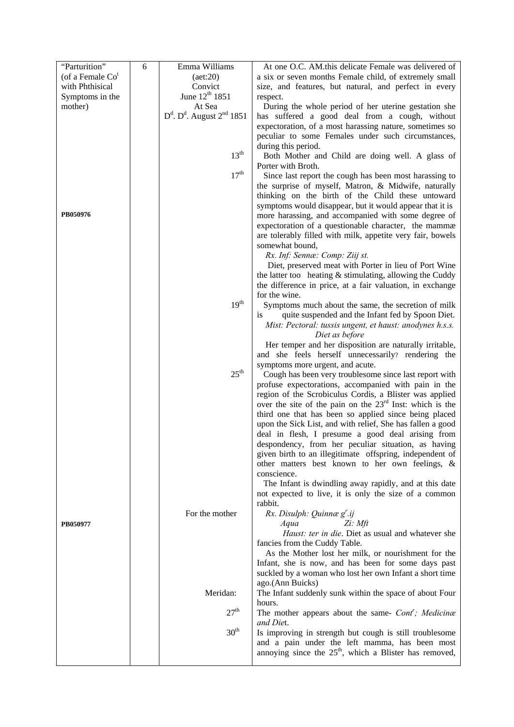| "Parturition"      | 6 | Emma Williams                        | At one O.C. AM.this delicate Female was delivered of                                                                    |
|--------------------|---|--------------------------------------|-------------------------------------------------------------------------------------------------------------------------|
| (of a Female $Cot$ |   | (aet:20)                             | a six or seven months Female child, of extremely small                                                                  |
| with Phthisical    |   | Convict                              | size, and features, but natural, and perfect in every                                                                   |
| Symptoms in the    |   | June 12 <sup>th</sup> 1851           | respect.                                                                                                                |
| mother)            |   | At Sea                               | During the whole period of her uterine gestation she                                                                    |
|                    |   | $D^d$ . $D^d$ . August $2^{nd}$ 1851 | has suffered a good deal from a cough, without                                                                          |
|                    |   |                                      | expectoration, of a most harassing nature, sometimes so                                                                 |
|                    |   |                                      | peculiar to some Females under such circumstances,                                                                      |
|                    |   |                                      | during this period.                                                                                                     |
|                    |   | $13^{th}$                            | Both Mother and Child are doing well. A glass of                                                                        |
|                    |   |                                      | Porter with Broth.                                                                                                      |
|                    |   | 17 <sup>th</sup>                     | Since last report the cough has been most harassing to                                                                  |
|                    |   |                                      | the surprise of myself, Matron, & Midwife, naturally                                                                    |
|                    |   |                                      | thinking on the birth of the Child these untoward                                                                       |
|                    |   |                                      | symptoms would disappear, but it would appear that it is                                                                |
| PB050976           |   |                                      |                                                                                                                         |
|                    |   |                                      | more harassing, and accompanied with some degree of                                                                     |
|                    |   |                                      | expectoration of a questionable character, the mammæ                                                                    |
|                    |   |                                      | are tolerably filled with milk, appetite very fair, bowels                                                              |
|                    |   |                                      | somewhat bound,                                                                                                         |
|                    |   |                                      | Rx. Inf: Sennæ: Comp: Ziij st.                                                                                          |
|                    |   |                                      | Diet, preserved meat with Porter in lieu of Port Wine                                                                   |
|                    |   |                                      | the latter too heating $&$ stimulating, allowing the Cuddy<br>the difference in price, at a fair valuation, in exchange |
|                    |   |                                      | for the wine.                                                                                                           |
|                    |   | $19^{th}$                            | Symptoms much about the same, the secretion of milk                                                                     |
|                    |   |                                      | quite suspended and the Infant fed by Spoon Diet.<br>1S                                                                 |
|                    |   |                                      | Mist: Pectoral: tussis ungent, et haust: anodynes h.s.s.                                                                |
|                    |   |                                      | Diet as before                                                                                                          |
|                    |   |                                      | Her temper and her disposition are naturally irritable,                                                                 |
|                    |   |                                      | and she feels herself unnecessarily? rendering the                                                                      |
|                    |   |                                      | symptoms more urgent, and acute.                                                                                        |
|                    |   | $25^{\text{th}}$                     | Cough has been very troublesome since last report with                                                                  |
|                    |   |                                      | profuse expectorations, accompanied with pain in the                                                                    |
|                    |   |                                      | region of the Scrobiculus Cordis, a Blister was applied                                                                 |
|                    |   |                                      | over the site of the pain on the 23 <sup>rd</sup> Inst: which is the                                                    |
|                    |   |                                      | third one that has been so applied since being placed                                                                   |
|                    |   |                                      | upon the Sick List, and with relief, She has fallen a good                                                              |
|                    |   |                                      | deal in flesh, I presume a good deal arising from                                                                       |
|                    |   |                                      | despondency, from her peculiar situation, as having                                                                     |
|                    |   |                                      | given birth to an illegitimate offspring, independent of                                                                |
|                    |   |                                      | other matters best known to her own feelings, &                                                                         |
|                    |   |                                      | conscience.                                                                                                             |
|                    |   |                                      | The Infant is dwindling away rapidly, and at this date                                                                  |
|                    |   |                                      | not expected to live, it is only the size of a common                                                                   |
|                    |   |                                      | rabbit.                                                                                                                 |
|                    |   | For the mother                       | $Rx.$ Disulph: Quinnæ $g'$ .ij                                                                                          |
| PB050977           |   |                                      | Aqua<br>$Z_i$ : Mft                                                                                                     |
|                    |   |                                      | Haust: ter in die. Diet as usual and whatever she                                                                       |
|                    |   |                                      | fancies from the Cuddy Table.                                                                                           |
|                    |   |                                      | As the Mother lost her milk, or nourishment for the                                                                     |
|                    |   |                                      | Infant, she is now, and has been for some days past                                                                     |
|                    |   |                                      | suckled by a woman who lost her own Infant a short time                                                                 |
|                    |   |                                      | ago.(Ann Buicks)                                                                                                        |
|                    |   | Meridan:                             | The Infant suddenly sunk within the space of about Four                                                                 |
|                    |   |                                      | hours.                                                                                                                  |
|                    |   | 27 <sup>th</sup>                     | The mother appears about the same- Cont <sup>'</sup> ; Medicinæ                                                         |
|                    |   |                                      | and Diet.                                                                                                               |
|                    |   | 30 <sup>th</sup>                     | Is improving in strength but cough is still troublesome                                                                 |
|                    |   |                                      | and a pain under the left mamma, has been most                                                                          |
|                    |   |                                      | annoying since the 25 <sup>th</sup> , which a Blister has removed,                                                      |
|                    |   |                                      |                                                                                                                         |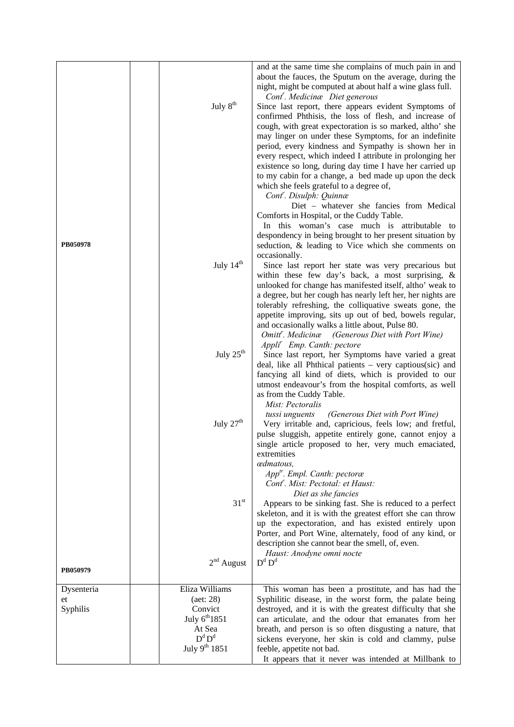|            |                       | and at the same time she complains of much pain in and<br>about the fauces, the Sputum on the average, during the<br>night, might be computed at about half a wine glass full. |
|------------|-----------------------|--------------------------------------------------------------------------------------------------------------------------------------------------------------------------------|
|            |                       | Cont <sup>'</sup> . Medicinæ Diet generous                                                                                                                                     |
|            | July 8 <sup>th</sup>  | Since last report, there appears evident Symptoms of                                                                                                                           |
|            |                       | confirmed Phthisis, the loss of flesh, and increase of                                                                                                                         |
|            |                       | cough, with great expectoration is so marked, altho' she                                                                                                                       |
|            |                       | may linger on under these Symptoms, for an indefinite                                                                                                                          |
|            |                       | period, every kindness and Sympathy is shown her in                                                                                                                            |
|            |                       |                                                                                                                                                                                |
|            |                       | every respect, which indeed I attribute in prolonging her                                                                                                                      |
|            |                       | existence so long, during day time I have her carried up                                                                                                                       |
|            |                       | to my cabin for a change, a bed made up upon the deck                                                                                                                          |
|            |                       | which she feels grateful to a degree of,                                                                                                                                       |
|            |                       | Cont <sup>r</sup> . Disulph: Quinnæ                                                                                                                                            |
|            |                       | Diet - whatever she fancies from Medical                                                                                                                                       |
|            |                       | Comforts in Hospital, or the Cuddy Table.                                                                                                                                      |
|            |                       | In this woman's case much is attributable to                                                                                                                                   |
|            |                       | despondency in being brought to her present situation by                                                                                                                       |
| PB050978   |                       | seduction, & leading to Vice which she comments on                                                                                                                             |
|            |                       | occasionally.                                                                                                                                                                  |
|            | July 14 <sup>th</sup> | Since last report her state was very precarious but                                                                                                                            |
|            |                       | within these few day's back, a most surprising, &                                                                                                                              |
|            |                       | unlooked for change has manifested itself, altho' weak to                                                                                                                      |
|            |                       | a degree, but her cough has nearly left her, her nights are                                                                                                                    |
|            |                       | tolerably refreshing, the colliquative sweats gone, the                                                                                                                        |
|            |                       | appetite improving, sits up out of bed, bowels regular,                                                                                                                        |
|            |                       | and occasionally walks a little about, Pulse 80.                                                                                                                               |
|            |                       | Omitt <sup>r</sup> . Medicinæ (Generous Diet with Port Wine)                                                                                                                   |
|            |                       | Appli <sup>r</sup> Emp. Canth: pectore                                                                                                                                         |
|            | July $25th$           | Since last report, her Symptoms have varied a great                                                                                                                            |
|            |                       | deal, like all Phthical patients - very captious(sic) and                                                                                                                      |
|            |                       | fancying all kind of diets, which is provided to our                                                                                                                           |
|            |                       | utmost endeavour's from the hospital comforts, as well                                                                                                                         |
|            |                       | as from the Cuddy Table.                                                                                                                                                       |
|            |                       | Mist: Pectoralis                                                                                                                                                               |
|            |                       | (Generous Diet with Port Wine)                                                                                                                                                 |
|            | July $27th$           | tussi unguents<br>Very irritable and, capricious, feels low; and fretful,                                                                                                      |
|            |                       |                                                                                                                                                                                |
|            |                       | pulse sluggish, appetite entirely gone, cannot enjoy a                                                                                                                         |
|            |                       | single article proposed to her, very much emaciated,                                                                                                                           |
|            |                       | extremities                                                                                                                                                                    |
|            |                       | œdmatous,                                                                                                                                                                      |
|            |                       | $Apptr$ . Empl. Canth: pectoræ                                                                                                                                                 |
|            |                       | Cont <sup>"</sup> . Mist: Pectotal: et Haust:                                                                                                                                  |
|            |                       | Diet as she fancies                                                                                                                                                            |
|            | 31 <sup>st</sup>      | Appears to be sinking fast. She is reduced to a perfect                                                                                                                        |
|            |                       | skeleton, and it is with the greatest effort she can throw                                                                                                                     |
|            |                       | up the expectoration, and has existed entirely upon                                                                                                                            |
|            |                       | Porter, and Port Wine, alternately, food of any kind, or                                                                                                                       |
|            |                       | description she cannot bear the smell, of, even.                                                                                                                               |
|            |                       | Haust: Anodyne omni nocte                                                                                                                                                      |
| PB050979   | $2nd$ August          | $D^d$ $D^d$                                                                                                                                                                    |
|            |                       |                                                                                                                                                                                |
| Dysenteria | Eliza Williams        | This woman has been a prostitute, and has had the                                                                                                                              |
| et         | $(\text{aet: } 28)$   | Syphilitic disease, in the worst form, the palate being                                                                                                                        |
| Syphilis   | Convict               | destroyed, and it is with the greatest difficulty that she                                                                                                                     |
|            | July $6^{th}$ 1851    | can articulate, and the odour that emanates from her                                                                                                                           |
|            | At Sea                | breath, and person is so often disgusting a nature, that                                                                                                                       |
|            | $D^d D^d$             | sickens everyone, her skin is cold and clammy, pulse                                                                                                                           |
|            | July $9^{th}$ 1851    | feeble, appetite not bad.                                                                                                                                                      |
|            |                       | It appears that it never was intended at Millbank to                                                                                                                           |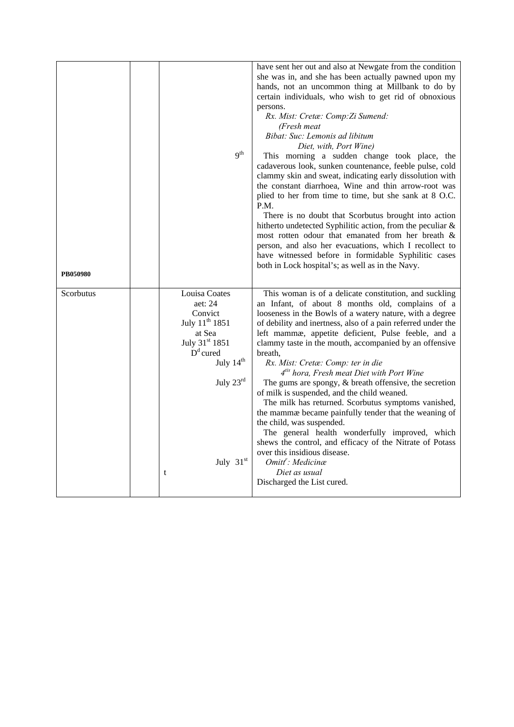|           |                            | have sent her out and also at Newgate from the condition                                                                 |
|-----------|----------------------------|--------------------------------------------------------------------------------------------------------------------------|
|           |                            | she was in, and she has been actually pawned upon my                                                                     |
|           |                            | hands, not an uncommon thing at Millbank to do by                                                                        |
|           |                            | certain individuals, who wish to get rid of obnoxious                                                                    |
|           |                            | persons.                                                                                                                 |
|           |                            | Rx. Mist: Cretæ: Comp: Zi Sumend:                                                                                        |
|           |                            | (Fresh meat                                                                                                              |
|           |                            | Bibat: Suc: Lemonis ad libitum                                                                                           |
|           |                            | Diet, with, Port Wine)                                                                                                   |
|           | 9 <sup>th</sup>            | This morning a sudden change took place, the                                                                             |
|           |                            | cadaverous look, sunken countenance, feeble pulse, cold                                                                  |
|           |                            | clammy skin and sweat, indicating early dissolution with                                                                 |
|           |                            | the constant diarrhoea, Wine and thin arrow-root was                                                                     |
|           |                            | plied to her from time to time, but she sank at 8 O.C.<br>P.M.                                                           |
|           |                            | There is no doubt that Scorbutus brought into action                                                                     |
|           |                            | hitherto undetected Syphilitic action, from the peculiar &                                                               |
|           |                            | most rotten odour that emanated from her breath &                                                                        |
|           |                            | person, and also her evacuations, which I recollect to                                                                   |
|           |                            | have witnessed before in formidable Syphilitic cases                                                                     |
|           |                            | both in Lock hospital's; as well as in the Navy.                                                                         |
| PB050980  |                            |                                                                                                                          |
|           |                            |                                                                                                                          |
|           |                            |                                                                                                                          |
| Scorbutus | Louisa Coates<br>aet: 24   | This woman is of a delicate constitution, and suckling<br>an Infant, of about 8 months old, complains of a               |
|           | Convict                    |                                                                                                                          |
|           | July 11 <sup>th</sup> 1851 | looseness in the Bowls of a watery nature, with a degree<br>of debility and inertness, also of a pain referred under the |
|           | at Sea                     | left mammæ, appetite deficient, Pulse feeble, and a                                                                      |
|           | July 31st 1851             | clammy taste in the mouth, accompanied by an offensive                                                                   |
|           | $Dd$ cured                 | breath,                                                                                                                  |
|           | July $14^{th}$             | Rx. Mist: Cretæ: Comp: ter in die                                                                                        |
|           |                            | 4 <sup>tis</sup> hora, Fresh meat Diet with Port Wine                                                                    |
|           | July $23rd$                | The gums are spongy, $\&$ breath offensive, the secretion                                                                |
|           |                            | of milk is suspended, and the child weaned.                                                                              |
|           |                            | The milk has returned. Scorbutus symptoms vanished,                                                                      |
|           |                            | the mammæ became painfully tender that the weaning of                                                                    |
|           |                            | the child, was suspended.                                                                                                |
|           |                            | The general health wonderfully improved, which                                                                           |
|           |                            | shews the control, and efficacy of the Nitrate of Potass                                                                 |
|           |                            | over this insidious disease.                                                                                             |
|           | July 31st                  | Omitt': Medicinæ                                                                                                         |
|           | t                          | Diet as usual                                                                                                            |
|           |                            | Discharged the List cured.                                                                                               |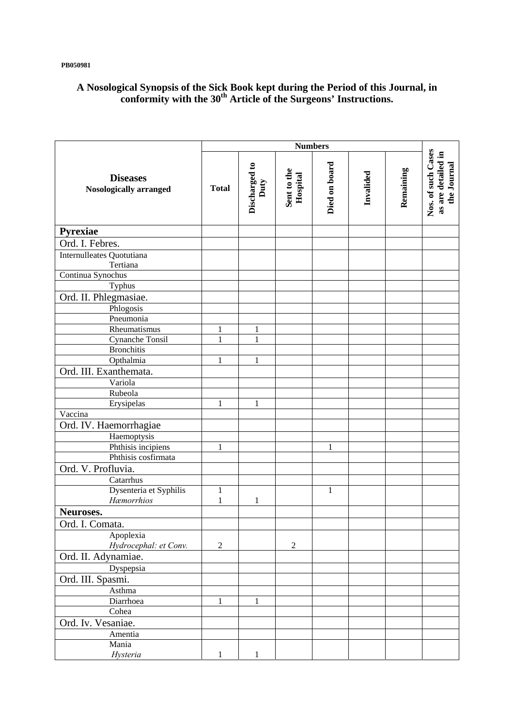**PB050981** 

# **A Nosological Synopsis of the Sick Book kept during the Period of this Journal, in conformity with the 30th Article of the Surgeons' Instructions.**

|                                                  | <b>Numbers</b> |                              |                         |               |           |           |                                                         |
|--------------------------------------------------|----------------|------------------------------|-------------------------|---------------|-----------|-----------|---------------------------------------------------------|
| <b>Diseases</b><br><b>Nosologically arranged</b> | <b>Total</b>   | Discharged to<br>Duty        | Sent to the<br>Hospital | Died on board | Invalided | Remaining | Nos. of such Cases<br>as are detailed in<br>the Journal |
| Pyrexiae                                         |                |                              |                         |               |           |           |                                                         |
| Ord. I. Febres.                                  |                |                              |                         |               |           |           |                                                         |
| Internulleates Quotutiana                        |                |                              |                         |               |           |           |                                                         |
| Tertiana                                         |                |                              |                         |               |           |           |                                                         |
| Continua Synochus                                |                |                              |                         |               |           |           |                                                         |
| Typhus                                           |                |                              |                         |               |           |           |                                                         |
| Ord. II. Phlegmasiae.                            |                |                              |                         |               |           |           |                                                         |
| Phlogosis                                        |                |                              |                         |               |           |           |                                                         |
| Pneumonia                                        |                |                              |                         |               |           |           |                                                         |
| Rheumatismus                                     | 1<br>1         | $\mathbf{1}$<br>$\mathbf{1}$ |                         |               |           |           |                                                         |
| Cynanche Tonsil<br><b>Bronchitis</b>             |                |                              |                         |               |           |           |                                                         |
| Opthalmia                                        | 1              | 1                            |                         |               |           |           |                                                         |
| Ord. III. Exanthemata.                           |                |                              |                         |               |           |           |                                                         |
| Variola                                          |                |                              |                         |               |           |           |                                                         |
| Rubeola                                          |                |                              |                         |               |           |           |                                                         |
| Erysipelas                                       | 1              | 1                            |                         |               |           |           |                                                         |
| Vaccina                                          |                |                              |                         |               |           |           |                                                         |
| Ord. IV. Haemorrhagiae                           |                |                              |                         |               |           |           |                                                         |
| Haemoptysis                                      |                |                              |                         |               |           |           |                                                         |
| Phthisis incipiens                               | 1              |                              |                         | $\mathbf{1}$  |           |           |                                                         |
| Phthisis cosfirmata                              |                |                              |                         |               |           |           |                                                         |
| Ord. V. Profluvia.                               |                |                              |                         |               |           |           |                                                         |
| Catarrhus                                        |                |                              |                         |               |           |           |                                                         |
| Dysenteria et Syphilis                           | $\mathbf{1}$   |                              |                         | 1             |           |           |                                                         |
| Hæmorrhios                                       | $\mathbf{1}$   | $\mathbf{1}$                 |                         |               |           |           |                                                         |
| Neuroses.                                        |                |                              |                         |               |           |           |                                                         |
| Ord. I. Comata.                                  |                |                              |                         |               |           |           |                                                         |
| Apoplexia                                        |                |                              |                         |               |           |           |                                                         |
| Hydrocephal: et Conv.<br>Ord. II. Adynamiae.     | $\overline{2}$ |                              | $\overline{2}$          |               |           |           |                                                         |
| Dyspepsia                                        |                |                              |                         |               |           |           |                                                         |
| Ord. III. Spasmi.                                |                |                              |                         |               |           |           |                                                         |
| Asthma                                           |                |                              |                         |               |           |           |                                                         |
| Diarrhoea                                        | 1              | 1                            |                         |               |           |           |                                                         |
| Cohea                                            |                |                              |                         |               |           |           |                                                         |
| Ord. Iv. Vesaniae.                               |                |                              |                         |               |           |           |                                                         |
| Amentia                                          |                |                              |                         |               |           |           |                                                         |
| Mania                                            |                |                              |                         |               |           |           |                                                         |
| Hysteria                                         | 1              | 1                            |                         |               |           |           |                                                         |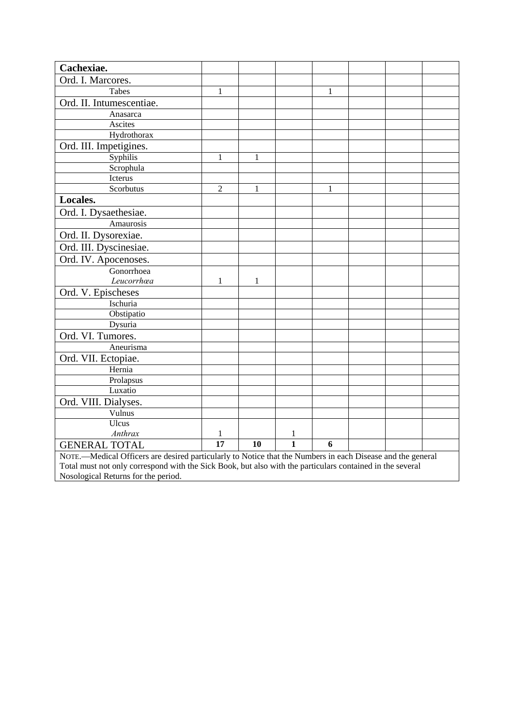| Cachexiae.                                                                                                 |                |    |              |   |  |  |
|------------------------------------------------------------------------------------------------------------|----------------|----|--------------|---|--|--|
| Ord. I. Marcores.                                                                                          |                |    |              |   |  |  |
| Tabes                                                                                                      | $\mathbf{1}$   |    |              | 1 |  |  |
| Ord. II. Intumescentiae.                                                                                   |                |    |              |   |  |  |
| Anasarca                                                                                                   |                |    |              |   |  |  |
| Ascites                                                                                                    |                |    |              |   |  |  |
| Hydrothorax                                                                                                |                |    |              |   |  |  |
| Ord. III. Impetigines.                                                                                     |                |    |              |   |  |  |
| Syphilis                                                                                                   | 1              | 1  |              |   |  |  |
| Scrophula                                                                                                  |                |    |              |   |  |  |
| Icterus                                                                                                    |                |    |              |   |  |  |
| Scorbutus                                                                                                  | $\overline{2}$ | 1  |              | 1 |  |  |
| Locales.                                                                                                   |                |    |              |   |  |  |
| Ord. I. Dysaethesiae.                                                                                      |                |    |              |   |  |  |
| Amaurosis                                                                                                  |                |    |              |   |  |  |
| Ord. II. Dysorexiae.                                                                                       |                |    |              |   |  |  |
| Ord. III. Dyscinesiae.                                                                                     |                |    |              |   |  |  |
| Ord. IV. Apocenoses.                                                                                       |                |    |              |   |  |  |
| Gonorrhoea                                                                                                 |                |    |              |   |  |  |
| Leucorrhœa                                                                                                 | 1              | 1  |              |   |  |  |
| Ord. V. Epischeses                                                                                         |                |    |              |   |  |  |
| Ischuria                                                                                                   |                |    |              |   |  |  |
| Obstipatio                                                                                                 |                |    |              |   |  |  |
| Dysuria                                                                                                    |                |    |              |   |  |  |
| Ord. VI. Tumores.                                                                                          |                |    |              |   |  |  |
| Aneurisma                                                                                                  |                |    |              |   |  |  |
| Ord. VII. Ectopiae.                                                                                        |                |    |              |   |  |  |
| Hernia                                                                                                     |                |    |              |   |  |  |
| Prolapsus                                                                                                  |                |    |              |   |  |  |
| Luxatio                                                                                                    |                |    |              |   |  |  |
| Ord. VIII. Dialyses.                                                                                       |                |    |              |   |  |  |
| Vulnus                                                                                                     |                |    |              |   |  |  |
| Ulcus                                                                                                      |                |    |              |   |  |  |
| Anthrax                                                                                                    | $\mathbf{1}$   |    | $\mathbf{1}$ |   |  |  |
| <b>GENERAL TOTAL</b>                                                                                       | 17             | 10 | 1            | 6 |  |  |
| NOTE.-Medical Officers are desired particularly to Notice that the Numbers in each Disease and the general |                |    |              |   |  |  |
| Total must not only correspond with the Sick Book, but also with the particulars contained in the several  |                |    |              |   |  |  |
| Nosological Returns for the period.                                                                        |                |    |              |   |  |  |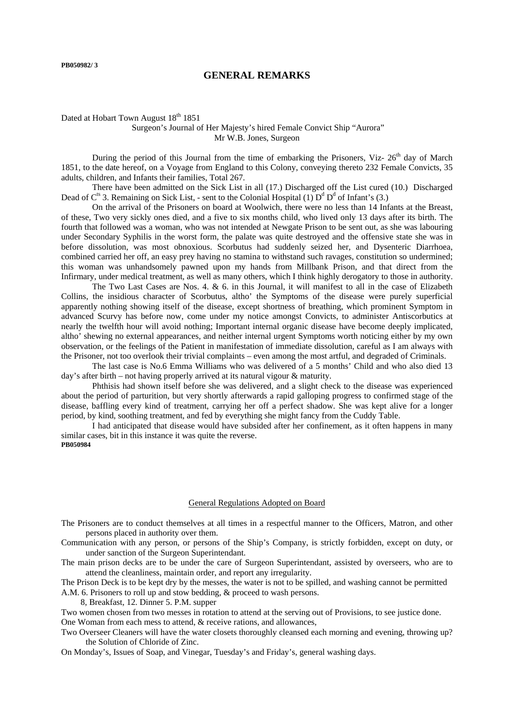## **GENERAL REMARKS**

## Dated at Hobart Town August 18<sup>th</sup> 1851

## Surgeon's Journal of Her Majesty's hired Female Convict Ship "Aurora" Mr W.B. Jones, Surgeon

During the period of this Journal from the time of embarking the Prisoners, Viz-  $26<sup>th</sup>$  day of March 1851, to the date hereof, on a Voyage from England to this Colony, conveying thereto 232 Female Convicts, 35 adults, children, and Infants their families, Total 267.

 There have been admitted on the Sick List in all (17.) Discharged off the List cured (10.) Discharged Dead of  $C^{ts}$  3. Remaining on Sick List, - sent to the Colonial Hospital (1)  $D^{d} D^{d}$  of Infant's (3.)

 On the arrival of the Prisoners on board at Woolwich, there were no less than 14 Infants at the Breast, of these, Two very sickly ones died, and a five to six months child, who lived only 13 days after its birth. The fourth that followed was a woman, who was not intended at Newgate Prison to be sent out, as she was labouring under Secondary Syphilis in the worst form, the palate was quite destroyed and the offensive state she was in before dissolution, was most obnoxious. Scorbutus had suddenly seized her, and Dysenteric Diarrhoea, combined carried her off, an easy prey having no stamina to withstand such ravages, constitution so undermined; this woman was unhandsomely pawned upon my hands from Millbank Prison, and that direct from the Infirmary, under medical treatment, as well as many others, which I think highly derogatory to those in authority.

The Two Last Cases are Nos. 4.  $\&$  6. in this Journal, it will manifest to all in the case of Elizabeth Collins, the insidious character of Scorbutus, altho' the Symptoms of the disease were purely superficial apparently nothing showing itself of the disease, except shortness of breathing, which prominent Symptom in advanced Scurvy has before now, come under my notice amongst Convicts, to administer Antiscorbutics at nearly the twelfth hour will avoid nothing; Important internal organic disease have become deeply implicated, altho' shewing no external appearances, and neither internal urgent Symptoms worth noticing either by my own observation, or the feelings of the Patient in manifestation of immediate dissolution, careful as I am always with the Prisoner, not too overlook their trivial complaints – even among the most artful, and degraded of Criminals.

 The last case is No.6 Emma Williams who was delivered of a 5 months' Child and who also died 13 day's after birth – not having properly arrived at its natural vigour & maturity.

Phthisis had shown itself before she was delivered, and a slight check to the disease was experienced about the period of parturition, but very shortly afterwards a rapid galloping progress to confirmed stage of the disease, baffling every kind of treatment, carrying her off a perfect shadow. She was kept alive for a longer period, by kind, soothing treatment, and fed by everything she might fancy from the Cuddy Table.

 I had anticipated that disease would have subsided after her confinement, as it often happens in many similar cases, bit in this instance it was quite the reverse. **PB050984** 

#### General Regulations Adopted on Board

The Prisoners are to conduct themselves at all times in a respectful manner to the Officers, Matron, and other persons placed in authority over them.

Communication with any person, or persons of the Ship's Company, is strictly forbidden, except on duty, or under sanction of the Surgeon Superintendant.

The main prison decks are to be under the care of Surgeon Superintendant, assisted by overseers, who are to attend the cleanliness, maintain order, and report any irregularity.

The Prison Deck is to be kept dry by the messes, the water is not to be spilled, and washing cannot be permitted A.M. 6. Prisoners to roll up and stow bedding, & proceed to wash persons.

8, Breakfast, 12. Dinner 5. P.M. supper

Two women chosen from two messes in rotation to attend at the serving out of Provisions, to see justice done. One Woman from each mess to attend, & receive rations, and allowances,

Two Overseer Cleaners will have the water closets thoroughly cleansed each morning and evening, throwing up? the Solution of Chloride of Zinc.

On Monday's, Issues of Soap, and Vinegar, Tuesday's and Friday's, general washing days.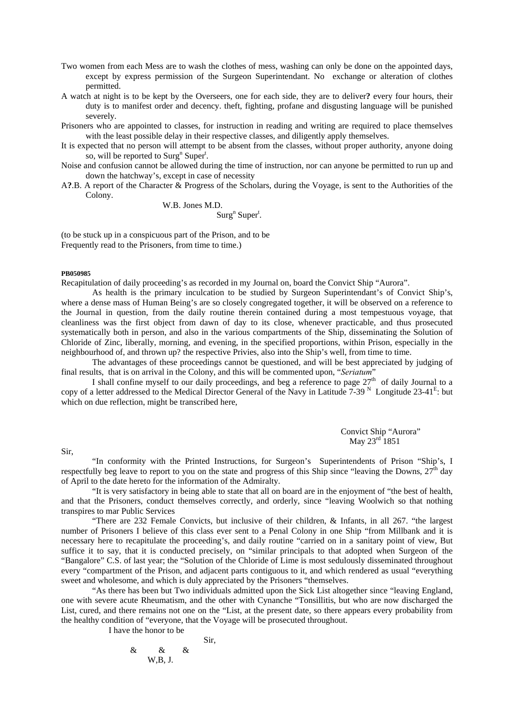- Two women from each Mess are to wash the clothes of mess, washing can only be done on the appointed days, except by express permission of the Surgeon Superintendant. No exchange or alteration of clothes permitted.
- A watch at night is to be kept by the Overseers, one for each side, they are to deliver**?** every four hours, their duty is to manifest order and decency. theft, fighting, profane and disgusting language will be punished severely.
- Prisoners who are appointed to classes, for instruction in reading and writing are required to place themselves with the least possible delay in their respective classes, and diligently apply themselves.
- It is expected that no person will attempt to be absent from the classes, without proper authority, anyone doing so, will be reported to  $\text{Surg}^n$  Super<sup>t</sup>.
- Noise and confusion cannot be allowed during the time of instruction, nor can anyone be permitted to run up and down the hatchway's, except in case of necessity
- A**?**.B. A report of the Character & Progress of the Scholars, during the Voyage, is sent to the Authorities of the Colony.

W.B. Jones M.D.

 $\text{Surg}^{\text{n}} \text{Super}^{\text{t}}$ .

(to be stuck up in a conspicuous part of the Prison, and to be Frequently read to the Prisoners, from time to time.)

### **PB050985**

Recapitulation of daily proceeding's as recorded in my Journal on, board the Convict Ship "Aurora".

 As health is the primary inculcation to be studied by Surgeon Superintendant's of Convict Ship's, where a dense mass of Human Being's are so closely congregated together, it will be observed on a reference to the Journal in question, from the daily routine therein contained during a most tempestuous voyage, that cleanliness was the first object from dawn of day to its close, whenever practicable, and thus prosecuted systematically both in person, and also in the various compartments of the Ship, disseminating the Solution of Chloride of Zinc, liberally, morning, and evening, in the specified proportions, within Prison, especially in the neighbourhood of, and thrown up? the respective Privies, also into the Ship's well, from time to time.

 The advantages of these proceedings cannot be questioned, and will be best appreciated by judging of final results, that is on arrival in the Colony, and this will be commented upon, "*Seriatum*"

I shall confine myself to our daily proceedings, and beg a reference to page  $27<sup>th</sup>$  of daily Journal to a copy of a letter addressed to the Medical Director General of the Navy in Latitude  $7-39$  N Longitude 23-41<sup>E</sup>: but which on due reflection, might be transcribed here,

> Convict Ship "Aurora" May 23<sup>rd</sup> 1851

Sir,

"In conformity with the Printed Instructions, for Surgeon's Superintendents of Prison "Ship's, I respectfully beg leave to report to you on the state and progress of this Ship since "leaving the Downs,  $27<sup>th</sup>$  day of April to the date hereto for the information of the Admiralty.

"It is very satisfactory in being able to state that all on board are in the enjoyment of "the best of health, and that the Prisoners, conduct themselves correctly, and orderly, since "leaving Woolwich so that nothing transpires to mar Public Services

"There are 232 Female Convicts, but inclusive of their children, & Infants, in all 267. "the largest number of Prisoners I believe of this class ever sent to a Penal Colony in one Ship "from Millbank and it is necessary here to recapitulate the proceeding's, and daily routine "carried on in a sanitary point of view, But suffice it to say, that it is conducted precisely, on "similar principals to that adopted when Surgeon of the "Bangalore" C.S. of last year; the "Solution of the Chloride of Lime is most sedulously disseminated throughout every "compartment of the Prison, and adjacent parts contiguous to it, and which rendered as usual "everything sweet and wholesome, and which is duly appreciated by the Prisoners "themselves.

"As there has been but Two individuals admitted upon the Sick List altogether since "leaving England, one with severe acute Rheumatism, and the other with Cynanche "Tonsillitis, but who are now discharged the List, cured, and there remains not one on the "List, at the present date, so there appears every probability from the healthy condition of "everyone, that the Voyage will be prosecuted throughout.

I have the honor to be

$$
\& \& \& \& \& \text{Sir}, \\ \& W,B,J.
$$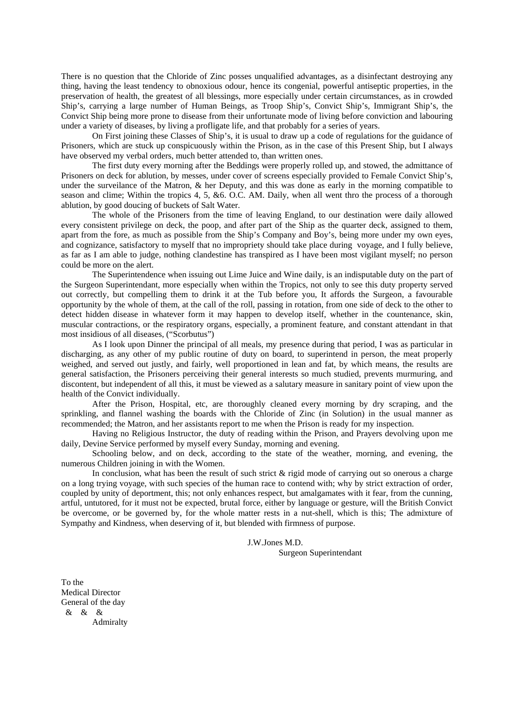There is no question that the Chloride of Zinc posses unqualified advantages, as a disinfectant destroying any thing, having the least tendency to obnoxious odour, hence its congenial, powerful antiseptic properties, in the preservation of health, the greatest of all blessings, more especially under certain circumstances, as in crowded Ship's, carrying a large number of Human Beings, as Troop Ship's, Convict Ship's, Immigrant Ship's, the Convict Ship being more prone to disease from their unfortunate mode of living before conviction and labouring under a variety of diseases, by living a profligate life, and that probably for a series of years.

 On First joining these Classes of Ship's, it is usual to draw up a code of regulations for the guidance of Prisoners, which are stuck up conspicuously within the Prison, as in the case of this Present Ship, but I always have observed my verbal orders, much better attended to, than written ones.

 The first duty every morning after the Beddings were properly rolled up, and stowed, the admittance of Prisoners on deck for ablution, by messes, under cover of screens especially provided to Female Convict Ship's, under the surveilance of the Matron, & her Deputy, and this was done as early in the morning compatible to season and clime; Within the tropics 4, 5, &6. O.C. AM. Daily, when all went thro the process of a thorough ablution, by good doucing of buckets of Salt Water.

 The whole of the Prisoners from the time of leaving England, to our destination were daily allowed every consistent privilege on deck, the poop, and after part of the Ship as the quarter deck, assigned to them, apart from the fore, as much as possible from the Ship's Company and Boy's, being more under my own eyes, and cognizance, satisfactory to myself that no impropriety should take place during voyage, and I fully believe, as far as I am able to judge, nothing clandestine has transpired as I have been most vigilant myself; no person could be more on the alert.

 The Superintendence when issuing out Lime Juice and Wine daily, is an indisputable duty on the part of the Surgeon Superintendant, more especially when within the Tropics, not only to see this duty property served out correctly, but compelling them to drink it at the Tub before you, It affords the Surgeon, a favourable opportunity by the whole of them, at the call of the roll, passing in rotation, from one side of deck to the other to detect hidden disease in whatever form it may happen to develop itself, whether in the countenance, skin, muscular contractions, or the respiratory organs, especially, a prominent feature, and constant attendant in that most insidious of all diseases, ("Scorbutus")

 As I look upon Dinner the principal of all meals, my presence during that period, I was as particular in discharging, as any other of my public routine of duty on board, to superintend in person, the meat properly weighed, and served out justly, and fairly, well proportioned in lean and fat, by which means, the results are general satisfaction, the Prisoners perceiving their general interests so much studied, prevents murmuring, and discontent, but independent of all this, it must be viewed as a salutary measure in sanitary point of view upon the health of the Convict individually.

 After the Prison, Hospital, etc, are thoroughly cleaned every morning by dry scraping, and the sprinkling, and flannel washing the boards with the Chloride of Zinc (in Solution) in the usual manner as recommended; the Matron, and her assistants report to me when the Prison is ready for my inspection.

 Having no Religious Instructor, the duty of reading within the Prison, and Prayers devolving upon me daily, Devine Service performed by myself every Sunday, morning and evening.

 Schooling below, and on deck, according to the state of the weather, morning, and evening, the numerous Children joining in with the Women.

 In conclusion, what has been the result of such strict & rigid mode of carrying out so onerous a charge on a long trying voyage, with such species of the human race to contend with; why by strict extraction of order, coupled by unity of deportment, this; not only enhances respect, but amalgamates with it fear, from the cunning, artful, untutored, for it must not be expected, brutal force, either by language or gesture, will the British Convict be overcome, or be governed by, for the whole matter rests in a nut-shell, which is this; The admixture of Sympathy and Kindness, when deserving of it, but blended with firmness of purpose.

> J.W.Jones M.D. Surgeon Superintendant

To the Medical Director General of the day & & & Admiralty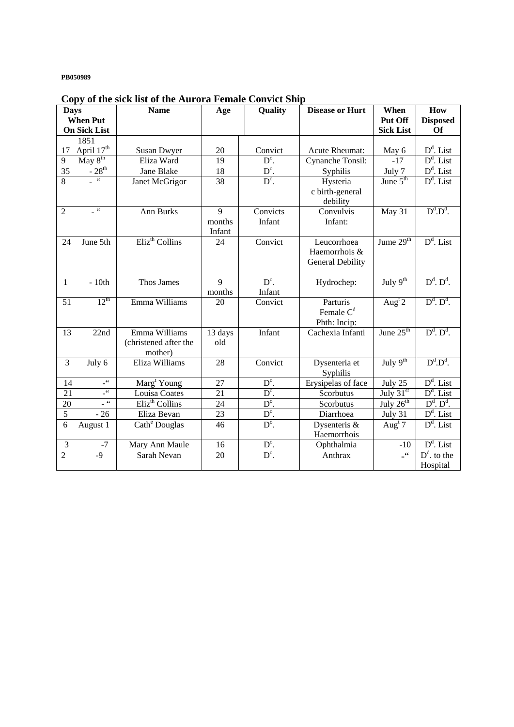### **PB050989**

| - - 1- J<br><b>Days</b> |                                        | Quality<br><b>Name</b><br>Age |                | <b>Disease or Hurt</b>   | When                    | How                         |                              |
|-------------------------|----------------------------------------|-------------------------------|----------------|--------------------------|-------------------------|-----------------------------|------------------------------|
|                         | <b>When Put</b><br><b>On Sick List</b> |                               |                |                          |                         | Put Off<br><b>Sick List</b> | <b>Disposed</b><br><b>Of</b> |
|                         | 1851                                   |                               |                |                          |                         |                             |                              |
| $17\,$                  | April 17th                             | <b>Susan Dwyer</b>            | 20             | Convict                  | Acute Rheumat:          | May 6                       | $D^d$ . List                 |
| 9                       | $\overline{\text{May } 8^{\text{th}}}$ | Eliza Ward                    | 19             | $D^{\circ}$ .            | Cynanche Tonsil:        | $-17$                       | $D^d$ . List                 |
| 35                      | $-28^{th}$                             | Jane Blake                    | 18             | $D^{\circ}$ .            | Syphilis                | July 7                      | $D^d$ . List                 |
| $\overline{8}$          | $-66$                                  | Janet McGrigor                | 38             | $D^{\circ}$ .            | Hysteria                | June $5th$                  | $D^d$ . List                 |
|                         |                                        |                               |                |                          | c birth-general         |                             |                              |
|                         |                                        |                               |                |                          | debility                |                             |                              |
| $\overline{2}$          | $\sim$ 66                              | Ann Burks                     | $\overline{9}$ | Convicts                 | Convulvis               | May 31                      | $D^d.D^d$ .                  |
|                         |                                        |                               | months         | Infant                   | Infant:                 |                             |                              |
|                         |                                        |                               | Infant         |                          |                         |                             |                              |
| 24                      | June 5th                               | Eliz <sup>th</sup> Collins    | 24             | Convict                  | Leucorrhoea             | Jume $29th$                 | $D^d$ . List                 |
|                         |                                        |                               |                |                          | Haemorrhois &           |                             |                              |
|                         |                                        |                               |                |                          | <b>General Debility</b> |                             |                              |
|                         |                                        |                               |                |                          |                         |                             |                              |
| $\mathbf{1}$            | $-10th$                                | Thos James                    | 9              | $D^{\circ}$ .<br>Infant  | Hydrochep:              | $\overline{July 9^{th}}$    | $D^d$ . $D^d$ .              |
| 51                      | $12^{th}$                              | Emma Williams                 | months<br>20   | Convict                  | Parturis                | Aug <sup>t</sup> 2          | $D^d$ . $D^d$ .              |
|                         |                                        |                               |                |                          | Female $Cd$             |                             |                              |
|                         |                                        |                               |                |                          | Phth: Incip:            |                             |                              |
| 13                      | 22nd                                   | Emma Williams                 | 13 days        | Infant                   | Cachexia Infanti        | June $25th$                 | $D^d$ . $D^d$ .              |
|                         |                                        | (christened after the         | old            |                          |                         |                             |                              |
|                         |                                        | mother)                       |                |                          |                         |                             |                              |
| 3                       | July 6                                 | Eliza Williams                | 28             | Convict                  | Dysenteria et           | July $9th$                  | $D^d.D^d$ .                  |
|                         |                                        |                               |                |                          | Syphilis                |                             |                              |
| 14                      | $\_$ 66 $\,$                           | Marg <sup>t</sup> Young       | 27             | $D^{\circ}$ .            | Erysipelas of face      | $\overline{July}$ 25        | $D^d$ . List                 |
| 21                      | $\_^{66}\,$                            | Louisa Coates                 | 21             | $D^{\circ}$ .            | Scorbutus               | July $31st$                 | $D^d$ . List                 |
| 20                      | $\sim$ 66                              | Eliz <sup>th</sup> Collins    | 24             | $D^{\circ}$ .            | Scorbutus               | July $26^{th}$              | $D^d$ . $D^d$ .              |
| $\overline{5}$          | $-26$                                  | Eliza Bevan                   | 23             | $\mathbf{D}^{\text{o}}.$ | Diarrhoea               | July 31                     | $D^d$ . List                 |
| 6                       | August 1                               | Cath <sup>e</sup> Douglas     | 46             | $D^{\circ}$ .            | Dysenteris &            | Aug <sup>t</sup> 7          | $D^d$ . List                 |
|                         |                                        |                               |                |                          | Haemorrhois             |                             |                              |
| 3                       | $-7$                                   | Mary Ann Maule                | 16             | $D^{\circ}$ .            | Ophthalmia              | $-10$                       | $D^d$ . List                 |
| $\overline{2}$          | $-9$                                   | Sarah Nevan                   | 20             | $D^{\circ}$ .            | Anthrax                 | $-66$                       | $D^d$ , to the               |
|                         |                                        |                               |                |                          |                         |                             | Hospital                     |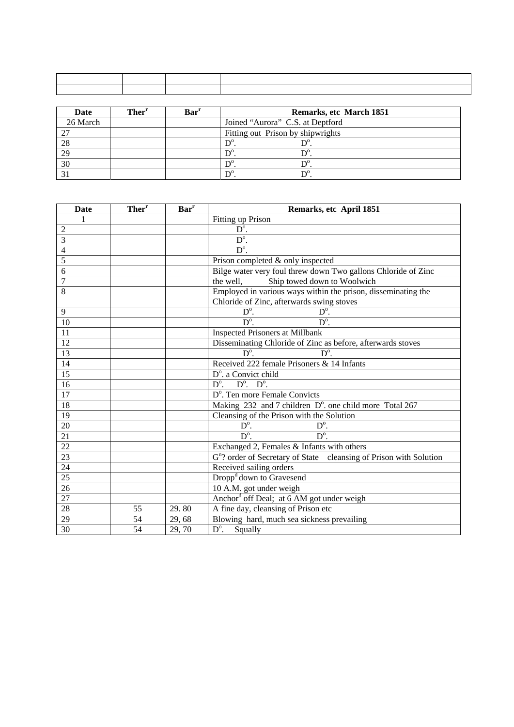| Date     | Ther <sup>r</sup> | Bar <sup>r</sup> | Remarks, etc March 1851           |
|----------|-------------------|------------------|-----------------------------------|
| 26 March |                   |                  | Joined "Aurora" C.S. at Deptford  |
| າາ       |                   |                  | Fitting out Prison by shipwrights |
| 28       |                   |                  |                                   |
| 29       |                   |                  |                                   |
| 30       |                   |                  | $D^{\circ}$                       |
|          |                   |                  | $\mathbf{D}$                      |

| <b>Date</b>     | Ther <sup>r</sup> | <b>Bar</b> <sup>r</sup> | Remarks, etc April 1851                                                        |  |  |  |  |  |
|-----------------|-------------------|-------------------------|--------------------------------------------------------------------------------|--|--|--|--|--|
|                 |                   |                         | Fitting up Prison                                                              |  |  |  |  |  |
| 2               |                   |                         | $\overline{D^0}$ .                                                             |  |  |  |  |  |
| 3               |                   |                         | $D^{\circ}$ .                                                                  |  |  |  |  |  |
| $\overline{4}$  |                   |                         | $\overline{D^{\circ}}$ .                                                       |  |  |  |  |  |
| 5               |                   |                         | Prison completed & only inspected                                              |  |  |  |  |  |
| 6               |                   |                         | Bilge water very foul threw down Two gallons Chloride of Zinc                  |  |  |  |  |  |
| 7               |                   |                         | Ship towed down to Woolwich<br>the well,                                       |  |  |  |  |  |
| 8               |                   |                         | Employed in various ways within the prison, disseminating the                  |  |  |  |  |  |
|                 |                   |                         | Chloride of Zinc, afterwards swing stoves                                      |  |  |  |  |  |
| 9               |                   |                         | $D^{\circ}$ .<br>$D^{\circ}$ .                                                 |  |  |  |  |  |
| 10              |                   |                         | $D^{\circ}$<br>$D^{\circ}$ .                                                   |  |  |  |  |  |
| $\overline{11}$ |                   |                         | <b>Inspected Prisoners at Millbank</b>                                         |  |  |  |  |  |
| $\overline{12}$ |                   |                         | Disseminating Chloride of Zinc as before, afterwards stoves                    |  |  |  |  |  |
| $\overline{13}$ |                   |                         | $\overline{D^{\circ}}$ .<br>$D^{\circ}$ .                                      |  |  |  |  |  |
| 14              |                   |                         | Received 222 female Prisoners & 14 Infants                                     |  |  |  |  |  |
| 15              |                   |                         | D <sup>o</sup> . a Convict child                                               |  |  |  |  |  |
| $\overline{16}$ |                   |                         | $\overline{D^0}$ .<br>$D^{\circ}$ . $D^{\circ}$ .                              |  |  |  |  |  |
| $\overline{17}$ |                   |                         | D <sup>o</sup> . Ten more Female Convicts                                      |  |  |  |  |  |
| 18              |                   |                         | Making 232 and 7 children D°. one child more Total 267                         |  |  |  |  |  |
| $\overline{19}$ |                   |                         | Cleansing of the Prison with the Solution                                      |  |  |  |  |  |
| 20              |                   |                         | $D^{\circ}$ .<br>$D^{\circ}$ .                                                 |  |  |  |  |  |
| 21              |                   |                         | $D^{\circ}$ .<br>$D^{\circ}$ .                                                 |  |  |  |  |  |
| 22              |                   |                         | Exchanged 2, Females & Infants with others                                     |  |  |  |  |  |
| 23              |                   |                         | G <sup>n</sup> ? order of Secretary of State cleansing of Prison with Solution |  |  |  |  |  |
| 24              |                   |                         | Received sailing orders                                                        |  |  |  |  |  |
| $\overline{25}$ |                   |                         | Dropp <sup>d</sup> down to Gravesend                                           |  |  |  |  |  |
| $\overline{26}$ |                   |                         | 10 A.M. got under weigh                                                        |  |  |  |  |  |
| 27              |                   |                         | Anchord off Deal; at 6 AM got under weigh                                      |  |  |  |  |  |
| 28              | 55                | 29.80                   | A fine day, cleansing of Prison etc                                            |  |  |  |  |  |
| 29              | 54                | 29,68                   | Blowing hard, much sea sickness prevailing                                     |  |  |  |  |  |
| 30              | 54                | 29,70                   | $D^{\circ}$ .<br>Squally                                                       |  |  |  |  |  |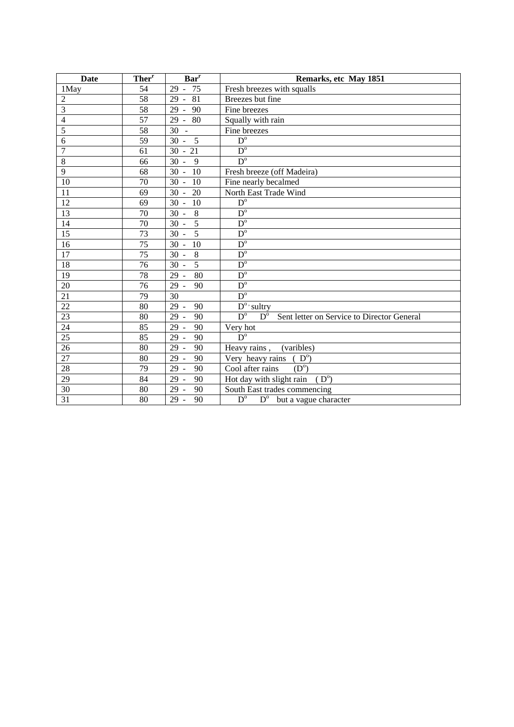| <b>Date</b>     | Ther <sup>r</sup> | Bar <sup>r</sup>          | Remarks, etc May 1851                                                                          |  |  |  |
|-----------------|-------------------|---------------------------|------------------------------------------------------------------------------------------------|--|--|--|
| 1May            | 54                | $29 - 75$                 | Fresh breezes with squalls                                                                     |  |  |  |
| $\overline{2}$  | 58                | 81<br>$29 -$              | Breezes but fine                                                                               |  |  |  |
| 3               | 58                | 90<br>$29 -$              | Fine breezes                                                                                   |  |  |  |
| 4               | $\overline{57}$   | 29<br>80<br>$\sim$        | Squally with rain                                                                              |  |  |  |
| 5               | 58                | 30<br>$\sim$              | Fine breezes                                                                                   |  |  |  |
| 6               | 59                | 5<br>$30 -$               | $D^{\circ}$                                                                                    |  |  |  |
| $\overline{7}$  | 61                | $\overline{21}$<br>$30 -$ | $D^{\circ}$                                                                                    |  |  |  |
| $\,8\,$         | 66                | $30 -$<br>9               | $D^{\circ}$                                                                                    |  |  |  |
| 9               | 68                | $30 -$<br>10              | Fresh breeze (off Madeira)                                                                     |  |  |  |
| 10              | 70                | $30 -$<br>10              | Fine nearly becalmed                                                                           |  |  |  |
| 11              | 69                | $30 -$<br>20              | North East Trade Wind                                                                          |  |  |  |
| 12              | 69                | $30 -$<br>10              | $D^{\circ}$                                                                                    |  |  |  |
| 13              | 70                | 8<br>$30 -$               | $\overline{D^o}$                                                                               |  |  |  |
| $\overline{14}$ | $\overline{70}$   | 5<br>$30 -$               | $D^{\circ}$                                                                                    |  |  |  |
| 15              | 73                | $\overline{5}$<br>$30 -$  | $D^{\circ}$                                                                                    |  |  |  |
| 16              | 75                | $30 -$<br>10              | $\overline{D}^{\circ}$                                                                         |  |  |  |
| $\overline{17}$ | 75                | $\overline{8}$<br>$30 -$  | $D^{\circ}$                                                                                    |  |  |  |
| 18              | 76                | $\overline{5}$<br>$30 -$  | $\overline{D}^{\circ}$                                                                         |  |  |  |
| 19              | 78                | 80<br>$29 -$              | $\overline{D}^{\circ}$                                                                         |  |  |  |
| 20              | 76                | $29 -$<br>90              | $D^{\circ}$                                                                                    |  |  |  |
| 21              | 79                | 30                        | $\overline{D}^{\circ}$                                                                         |  |  |  |
| $\overline{22}$ | 80                | $29 -$<br>90              | $\overline{D}^o$ sultry                                                                        |  |  |  |
| $\overline{23}$ | 80                | $29 -$<br>90              | $\overline{D}^{\circ}$<br>$\overline{D}^{\circ}$<br>Sent letter on Service to Director General |  |  |  |
| 24              | 85                | $29 -$<br>90              | Very hot                                                                                       |  |  |  |
| $\overline{25}$ | 85                | $29 -$<br>90              | $\overline{D}^{\circ}$                                                                         |  |  |  |
| $26\,$          | 80                | $29 -$<br>90              | Heavy rains,<br>(varibles)                                                                     |  |  |  |
| 27              | 80                | $29 -$<br>90              | Very heavy rains $(Do)$                                                                        |  |  |  |
| $\overline{28}$ | 79                | $29 -$<br>90              | $(D^{\circ})$<br>Cool after rains                                                              |  |  |  |
| 29              | 84                | $29 -$<br>90              | Hot day with slight rain<br>$(D^{\circ})$                                                      |  |  |  |
| 30              | 80                | $29 -$<br>90              | South East trades commencing                                                                   |  |  |  |
| $\overline{31}$ | 80                | $29 -$<br>90              | $\overline{D^{\circ}}$<br>$\overline{D^{\circ}}$ but a vague character                         |  |  |  |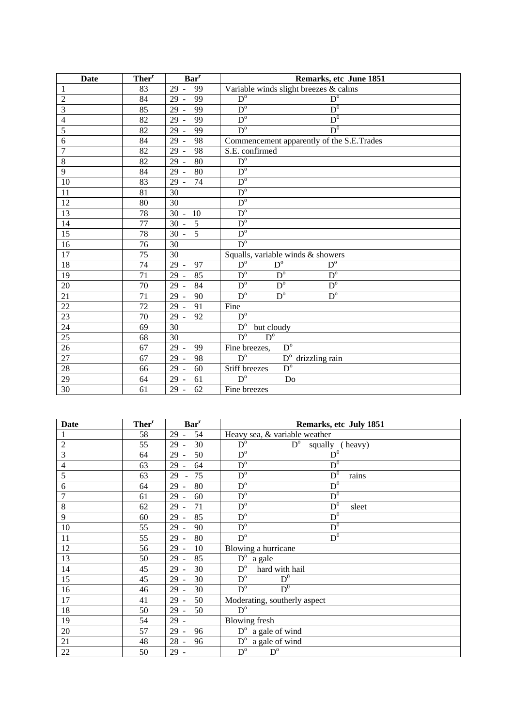| Date            | Ther <sup>r</sup> | Bar <sup>r</sup>                     | Remarks, etc June 1851                                          |  |  |  |
|-----------------|-------------------|--------------------------------------|-----------------------------------------------------------------|--|--|--|
| $\mathbf{1}$    | 83                | 99<br>29<br>$\omega$                 | Variable winds slight breezes & calms                           |  |  |  |
| $\overline{2}$  | 84                | 29<br>99<br>$\blacksquare$           | $\overline{D}^{\circ}$<br>$D^{\mathrm{o}}$                      |  |  |  |
| 3               | 85                | 29<br>99<br>$\equiv$                 | $\mathrm{D}^0$<br>$D^{\circ}$                                   |  |  |  |
| 4               | 82                | 99<br>29                             | $\mathrm{D}^0$<br>$D^{\circ}$                                   |  |  |  |
| 5               | 82                | 99<br>29                             | $D^0$<br>$D^{\circ}$                                            |  |  |  |
| 6               | 84                | 98<br>29<br>$\sim$                   | Commencement apparently of the S.E.Trades                       |  |  |  |
| $\overline{7}$  | 82                | 29<br>98<br>$\overline{\phantom{a}}$ | S.E. confirmed                                                  |  |  |  |
| $\overline{8}$  | 82                | 29<br>80<br>$\sim$                   | $D^{\circ}$                                                     |  |  |  |
| 9               | 84                | 80<br>29<br>$\sim$                   | $D^{\circ}$                                                     |  |  |  |
| 10              | 83                | 74<br>29<br>$\sim$                   | $D^{\circ}$                                                     |  |  |  |
| 11              | 81                | 30                                   | $\overline{D}^{\circ}$                                          |  |  |  |
| 12              | 80                | 30                                   | $\overline{D}^{\circ}$                                          |  |  |  |
| 13              | 78                | 30<br>10<br>$\overline{\phantom{a}}$ | $D^{\circ}$                                                     |  |  |  |
| 14              | 77                | 30<br>5<br>$\bar{a}$                 | $D^{\circ}$                                                     |  |  |  |
| 15              | 78                | $\overline{5}$<br>30<br>$\equiv$     | $\overline{D}^{\circ}$                                          |  |  |  |
| $\overline{16}$ | 76                | 30                                   | $D^{\circ}$                                                     |  |  |  |
| $\overline{17}$ | 75                | 30                                   | Squalls, variable winds & showers                               |  |  |  |
| 18              | 74                | 29<br>97<br>$\overline{\phantom{a}}$ | $\overline{D}^{\circ}$<br>$\overline{D}^{\circ}$<br>$D^{\circ}$ |  |  |  |
| 19              | 71                | 29<br>85<br>$\sim$                   | $D^{\circ}$<br>$D^{\circ}$<br>$\overline{D}^{\circ}$            |  |  |  |
| 20              | 70                | 29<br>84<br>$\sim$                   | $D^{\circ}$<br>$\overline{D}^{\circ}$<br>$\overline{D^{\circ}}$ |  |  |  |
| 21              | 71                | 29<br>90<br>$\blacksquare$           | $D^{\circ}$<br>$\overline{D}^{\circ}$<br>$\overline{D^{\circ}}$ |  |  |  |
| $\overline{22}$ | 72                | 29<br>91<br>$\mathbb{Z}$             | Fine                                                            |  |  |  |
| $\overline{23}$ | 70                | 29<br>92                             | $\overline{D^{\circ}}$                                          |  |  |  |
| 24              | 69                | 30                                   | $D^{\mathrm{o}}$<br>but cloudy                                  |  |  |  |
| 25              | 68                | 30                                   | $\overline{D}^{\circ}$<br>$D^{\circ}$                           |  |  |  |
| 26              | 67                | 29<br>99<br>$\bar{\phantom{a}}$      | $\overline{D}^{\circ}$<br>Fine breezes,                         |  |  |  |
| 27              | 67                | 29<br>98<br>$\sim$                   | $D^{\circ}$<br>$D^{\mathrm{o}}$<br>drizzling rain               |  |  |  |
| 28              | 66                | 29<br>60                             | $D^{\circ}$<br>Stiff breezes                                    |  |  |  |
| 29              | 64                | 61<br>29<br>$\equiv$                 | $\overline{D}^{\circ}$<br>Do                                    |  |  |  |
| $\overline{30}$ | 61                | 29<br>62<br>$\overline{\phantom{a}}$ | Fine breezes                                                    |  |  |  |

| Date             | Ther <sup>r</sup> | <b>Bar</b> <sup>r</sup>    | Remarks, etc July 1851                                       |  |  |  |  |
|------------------|-------------------|----------------------------|--------------------------------------------------------------|--|--|--|--|
| $\mathbf{1}$     | 58                | 29<br>54                   | Heavy sea, & variable weather                                |  |  |  |  |
| $\boldsymbol{2}$ | 55                | 30<br>$29 -$               | $\mathbf{D}^{\text{o}}$<br>$D^{\circ}$<br>squally<br>(heavy) |  |  |  |  |
| 3                | 64                | 50<br>29<br>$\sim$         | $\mathbf{D}^0$<br>$\overline{D}^{\circ}$                     |  |  |  |  |
| 4                | 63                | 29<br>64<br>$\blacksquare$ | $\mathrm{D}^0$<br>$\overline{D}^{\circ}$                     |  |  |  |  |
| 5                | 63                | 29<br>75<br>$\blacksquare$ | $\mathrm{D}^0$<br>$\overline{D}^{\circ}$<br>rains            |  |  |  |  |
| 6                | 64                | $29 -$<br>80               | $\mathrm{D}^0$<br>$\overline{D}^{\circ}$                     |  |  |  |  |
| $\overline{7}$   | 61                | $29 -$<br>60               | $\mathrm{D}^0$<br>$\overline{D}^{\circ}$                     |  |  |  |  |
| 8                | 62                | $29 -$<br>71               | $D^0$<br>$D^{\circ}$<br>sleet                                |  |  |  |  |
| 9                | 60                | $29 -$<br>85               | $\mathrm{D}^0$<br>$\overline{D}^{\circ}$                     |  |  |  |  |
| 10               | 55                | $29 -$<br>90               | $D^0$<br>$\overline{D}^{\circ}$                              |  |  |  |  |
| 11               | 55                | 80<br>$29 -$               | $D^0$<br>$\overline{D^{\circ}}$                              |  |  |  |  |
| 12               | 56                | 29<br>10<br>$\sim$         | Blowing a hurricane                                          |  |  |  |  |
| 13               | 50                | $29 -$<br>85               | $D^{\circ}$ a gale                                           |  |  |  |  |
| 14               | 45                | 29<br>30                   | $D^{\circ}$<br>hard with hail                                |  |  |  |  |
| 15               | 45                | $29 -$<br>30               | $D^0$<br>$D^{\circ}$                                         |  |  |  |  |
| 16               | 46                | 30<br>$29 -$               | $D^0$<br>$\overline{D^{\circ}}$                              |  |  |  |  |
| 17               | 41                | $29 -$<br>50               | Moderating, southerly aspect                                 |  |  |  |  |
| 18               | 50                | $29 -$<br>50               | $D^{\mathrm{o}}$                                             |  |  |  |  |
| 19               | 54                | $29 -$                     | <b>Blowing fresh</b>                                         |  |  |  |  |
| $20\,$           | 57                | $29 -$<br>96               | $\overline{D^{\circ}}$ a gale of wind                        |  |  |  |  |
| 21               | 48                | $28 -$<br>96               | $D^{\circ}$ a gale of wind                                   |  |  |  |  |
| $22\,$           | 50                | $29 -$                     | $\overline{D^{\circ}}$<br>$D^{\mathrm{o}}$                   |  |  |  |  |